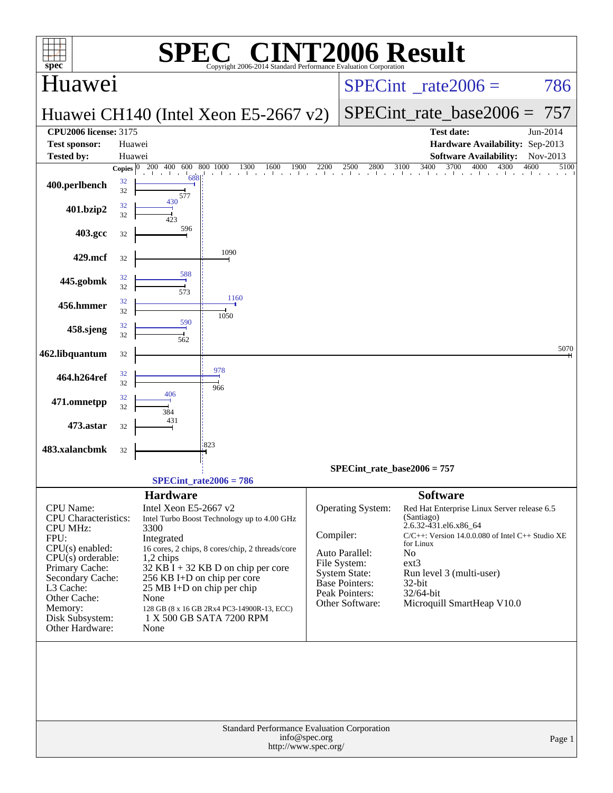| <b>INT2006 Result</b><br>$\bigcap$                                 |                    |                                                  |                                                                        |               |                                      |                                                                                                       |              |  |  |  |
|--------------------------------------------------------------------|--------------------|--------------------------------------------------|------------------------------------------------------------------------|---------------|--------------------------------------|-------------------------------------------------------------------------------------------------------|--------------|--|--|--|
| $spec^*$<br>Huawei                                                 |                    |                                                  | Copyright 2006-2014 Standard Performance Evaluation Corporation        |               |                                      | $SPECint^{\circ}$ <sub>_rate2006</sub> =                                                              | 786          |  |  |  |
|                                                                    |                    |                                                  | Huawei CH140 (Intel Xeon E5-2667 v2)                                   |               |                                      | $SPECint_rate\_base2006 =$                                                                            | 757          |  |  |  |
| <b>CPU2006 license: 3175</b><br><b>Test sponsor:</b>               | Huawei             |                                                  |                                                                        |               |                                      | <b>Test date:</b><br>Hardware Availability: Sep-2013                                                  | Jun-2014     |  |  |  |
| <b>Tested by:</b>                                                  | Huawei             |                                                  |                                                                        |               |                                      | <b>Software Availability:</b>                                                                         | Nov-2013     |  |  |  |
|                                                                    | Copies $ 0\rangle$ | 200 400                                          | 1300<br>600 800 1000<br>1600<br>1900<br>and a search and the car       | 2200          | 2500<br>2800                         | 3700<br>3400<br>4000<br>4300<br>3100<br>a d'a a l'a a d'a a d'a a d'a a d'a a d'a a                   | 4600<br>5100 |  |  |  |
| 400.perlbench                                                      | 32<br>32           | 688<br>577                                       |                                                                        |               |                                      |                                                                                                       |              |  |  |  |
| 401.bzip2                                                          | 32<br>32           | 430<br>423                                       |                                                                        |               |                                      |                                                                                                       |              |  |  |  |
| 403.gcc                                                            | 32                 | 596                                              |                                                                        |               |                                      |                                                                                                       |              |  |  |  |
| 429.mcf                                                            | 32                 |                                                  | 1090                                                                   |               |                                      |                                                                                                       |              |  |  |  |
| 445.gobmk                                                          | 32<br>32           | 588<br>573                                       |                                                                        |               |                                      |                                                                                                       |              |  |  |  |
| 456.hmmer                                                          | 32<br>32           |                                                  | 1160<br>1050                                                           |               |                                      |                                                                                                       |              |  |  |  |
| 458.sjeng                                                          | 32<br>32           | 590<br>562                                       |                                                                        |               |                                      |                                                                                                       |              |  |  |  |
| 462.libquantum                                                     | 32                 |                                                  |                                                                        |               |                                      |                                                                                                       | 5070         |  |  |  |
| 464.h264ref                                                        | 32<br>32           |                                                  | 978<br>966                                                             |               |                                      |                                                                                                       |              |  |  |  |
| 471.omnetpp                                                        | 32<br>32           | 406<br>384                                       |                                                                        |               |                                      |                                                                                                       |              |  |  |  |
| 473.astar                                                          | 32                 | 431                                              |                                                                        |               |                                      |                                                                                                       |              |  |  |  |
| 483.xalancbmk                                                      | 32                 |                                                  | 823                                                                    |               |                                      |                                                                                                       |              |  |  |  |
|                                                                    |                    |                                                  |                                                                        |               |                                      | SPECint rate base $2006 = 757$                                                                        |              |  |  |  |
|                                                                    |                    |                                                  | $SPECint_rate2006 = 786$                                               |               |                                      |                                                                                                       |              |  |  |  |
| <b>CPU</b> Name:<br><b>CPU</b> Characteristics:<br><b>CPU MHz:</b> |                    | <b>Hardware</b><br>Intel Xeon E5-2667 v2<br>3300 | Intel Turbo Boost Technology up to 4.00 GHz                            |               | Operating System:                    | <b>Software</b><br>Red Hat Enterprise Linux Server release 6.5<br>(Santiago)<br>2.6.32-431.el6.x86_64 |              |  |  |  |
| FPU:                                                               |                    | Integrated                                       |                                                                        | Compiler:     |                                      | $C/C++$ : Version 14.0.0.080 of Intel $C++$ Studio XE<br>for Linux                                    |              |  |  |  |
| $CPU(s)$ enabled:<br>$CPU(s)$ orderable:                           |                    | $1,2$ chips                                      | 16 cores, 2 chips, 8 cores/chip, 2 threads/core                        |               | Auto Parallel:                       | No                                                                                                    |              |  |  |  |
| Primary Cache:                                                     |                    |                                                  | $32$ KB I + 32 KB D on chip per core                                   |               | File System:<br><b>System State:</b> | $ext{3}$<br>Run level 3 (multi-user)                                                                  |              |  |  |  |
| Secondary Cache:<br>L3 Cache:                                      |                    |                                                  | 256 KB I+D on chip per core<br>$25 \text{ MB I+D}$ on chip per chip    |               | <b>Base Pointers:</b>                | $32$ -bit                                                                                             |              |  |  |  |
| Other Cache:                                                       |                    | None                                             |                                                                        |               | Peak Pointers:<br>Other Software:    | 32/64-bit<br>Microquill SmartHeap V10.0                                                               |              |  |  |  |
| Memory:<br>Disk Subsystem:                                         |                    |                                                  | 128 GB (8 x 16 GB 2Rx4 PC3-14900R-13, ECC)<br>1 X 500 GB SATA 7200 RPM |               |                                      |                                                                                                       |              |  |  |  |
| Other Hardware:                                                    |                    | None                                             |                                                                        |               |                                      |                                                                                                       |              |  |  |  |
|                                                                    |                    |                                                  |                                                                        |               |                                      |                                                                                                       |              |  |  |  |
|                                                                    |                    |                                                  | Standard Performance Evaluation Corporation<br>http://www.spec.org/    | info@spec.org |                                      |                                                                                                       | Page 1       |  |  |  |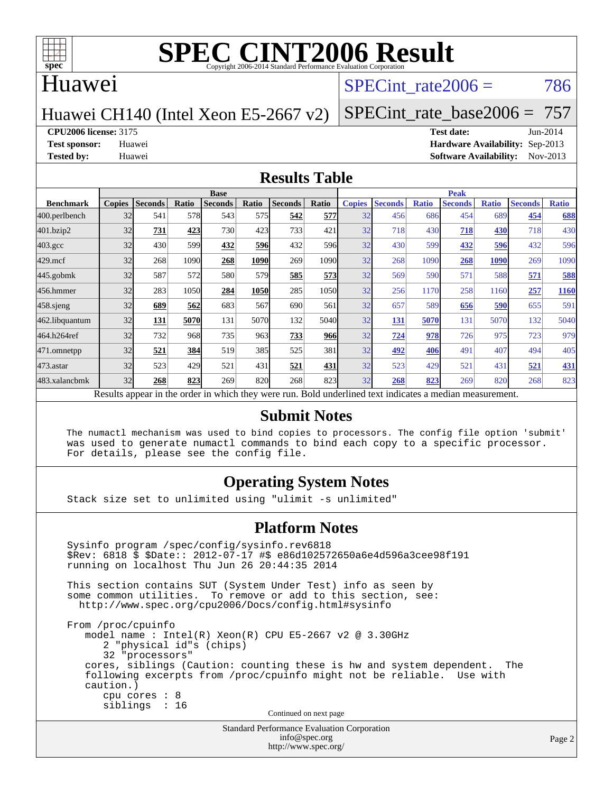

#### Huawei

#### SPECint rate $2006 = 786$

Huawei CH140 (Intel Xeon E5-2667 v2)

[SPECint\\_rate\\_base2006 =](http://www.spec.org/auto/cpu2006/Docs/result-fields.html#SPECintratebase2006) 757

**[CPU2006 license:](http://www.spec.org/auto/cpu2006/Docs/result-fields.html#CPU2006license)** 3175 **[Test date:](http://www.spec.org/auto/cpu2006/Docs/result-fields.html#Testdate)** Jun-2014

**[Test sponsor:](http://www.spec.org/auto/cpu2006/Docs/result-fields.html#Testsponsor)** Huawei **[Hardware Availability:](http://www.spec.org/auto/cpu2006/Docs/result-fields.html#HardwareAvailability)** Sep-2013 **[Tested by:](http://www.spec.org/auto/cpu2006/Docs/result-fields.html#Testedby)** Huawei **[Software Availability:](http://www.spec.org/auto/cpu2006/Docs/result-fields.html#SoftwareAvailability)** Nov-2013

#### **[Results Table](http://www.spec.org/auto/cpu2006/Docs/result-fields.html#ResultsTable)**

|                                                                                                          | <b>Base</b>   |                |       |                |       |                |              | <b>Peak</b>   |                |              |                |              |                |              |
|----------------------------------------------------------------------------------------------------------|---------------|----------------|-------|----------------|-------|----------------|--------------|---------------|----------------|--------------|----------------|--------------|----------------|--------------|
| <b>Benchmark</b>                                                                                         | <b>Copies</b> | <b>Seconds</b> | Ratio | <b>Seconds</b> | Ratio | <b>Seconds</b> | <b>Ratio</b> | <b>Copies</b> | <b>Seconds</b> | <b>Ratio</b> | <b>Seconds</b> | <b>Ratio</b> | <b>Seconds</b> | <b>Ratio</b> |
| 400.perlbench                                                                                            | 32            | 541            | 578   | 543            | 575I  | 542            | 577          | 32            | 456            | 686          | 454            | 689          | 454            | 688          |
| 401.bzip2                                                                                                | 32            | 731            | 423   | 730            | 423   | 733            | 421          | 32            | 718            | 430          | 718            | <b>430</b>   | 718            | 430          |
| $403.\mathrm{gcc}$                                                                                       | 32            | 430            | 599   | 432            | 596   | 432            | 596          | 32            | 430            | 599          | 432            | 596          | 432            | 596          |
| $429$ .mcf                                                                                               | 32            | 268            | 1090  | 268            | 1090  | 269            | 1090         | 32            | 268            | 1090         | 268            | 1090         | 269            | 1090         |
| $445$ .gobmk                                                                                             | 32            | 587            | 572   | 580            | 579   | 585            | 573          | 32            | 569            | 590          | 571            | 588          | 571            | 588          |
| 456.hmmer                                                                                                | 32            | 283            | 1050  | 284            | 1050  | 285            | 1050         | 32            | 256            | 1170         | 258            | 1160         | 257            | 1160         |
| $458$ .sjeng                                                                                             | 32            | 689            | 562   | 683            | 567   | 690            | 561          | 32            | 657            | 589          | 656            | 590          | 655            | 591          |
| 462.libquantum                                                                                           | 32            | 131            | 5070  | 131            | 5070  | 132            | 5040         | 32            | <u>131</u>     | 5070         | 131            | 5070         | 132            | 5040         |
| 464.h264ref                                                                                              | 32            | 732            | 968   | 735            | 963   | 733            | 966          | 32            | 724            | 978          | 726            | 975          | 723            | 979          |
| 471.omnetpp                                                                                              | 32            | 521            | 384   | 519            | 385   | 525            | 381          | 32            | 492            | 406          | 491            | 407          | 494            | 405          |
| $473$ . astar                                                                                            | 32            | 523            | 429   | 521            | 431   | 521            | 431          | 32            | 523            | 429          | 521            | 431          | 521            | <b>431</b>   |
| 483.xalancbmk                                                                                            | 32            | 268            | 823   | 269            | 820   | 268            | 823          | 32            | 268            | 823          | 269            | 820          | 268            | 823          |
| Results appear in the order in which they were run. Bold underlined text indicates a median measurement. |               |                |       |                |       |                |              |               |                |              |                |              |                |              |

#### **[Submit Notes](http://www.spec.org/auto/cpu2006/Docs/result-fields.html#SubmitNotes)**

 The numactl mechanism was used to bind copies to processors. The config file option 'submit' was used to generate numactl commands to bind each copy to a specific processor. For details, please see the config file.

#### **[Operating System Notes](http://www.spec.org/auto/cpu2006/Docs/result-fields.html#OperatingSystemNotes)**

Stack size set to unlimited using "ulimit -s unlimited"

#### **[Platform Notes](http://www.spec.org/auto/cpu2006/Docs/result-fields.html#PlatformNotes)**

```
Standard Performance Evaluation Corporation
 Sysinfo program /spec/config/sysinfo.rev6818
 $Rev: 6818 $ $Date:: 2012-07-17 #$ e86d102572650a6e4d596a3cee98f191
 running on localhost Thu Jun 26 20:44:35 2014
 This section contains SUT (System Under Test) info as seen by
some common utilities. To remove or add to this section, see:
  http://www.spec.org/cpu2006/Docs/config.html#sysinfo
 From /proc/cpuinfo
    model name : Intel(R) Xeon(R) CPU E5-2667 v2 @ 3.30GHz
       2 "physical id"s (chips)
       32 "processors"
    cores, siblings (Caution: counting these is hw and system dependent. The
    following excerpts from /proc/cpuinfo might not be reliable. Use with
    caution.)
       cpu cores : 8
       siblings : 16
                                   Continued on next page
```
[info@spec.org](mailto:info@spec.org) <http://www.spec.org/>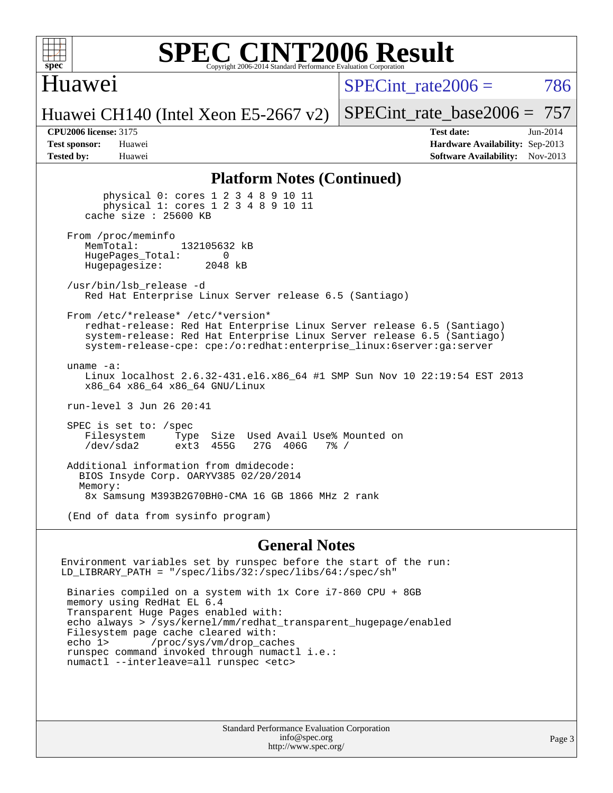

#### Huawei

SPECint rate $2006 = 786$ 

Huawei CH140 (Intel Xeon E5-2667 v2)

[SPECint\\_rate\\_base2006 =](http://www.spec.org/auto/cpu2006/Docs/result-fields.html#SPECintratebase2006) 757

**[CPU2006 license:](http://www.spec.org/auto/cpu2006/Docs/result-fields.html#CPU2006license)** 3175 **[Test date:](http://www.spec.org/auto/cpu2006/Docs/result-fields.html#Testdate)** Jun-2014 **[Test sponsor:](http://www.spec.org/auto/cpu2006/Docs/result-fields.html#Testsponsor)** Huawei **[Hardware Availability:](http://www.spec.org/auto/cpu2006/Docs/result-fields.html#HardwareAvailability)** Sep-2013 **[Tested by:](http://www.spec.org/auto/cpu2006/Docs/result-fields.html#Testedby)** Huawei **[Software Availability:](http://www.spec.org/auto/cpu2006/Docs/result-fields.html#SoftwareAvailability)** Nov-2013

#### **[Platform Notes \(Continued\)](http://www.spec.org/auto/cpu2006/Docs/result-fields.html#PlatformNotes)**

 physical 0: cores 1 2 3 4 8 9 10 11 physical 1: cores 1 2 3 4 8 9 10 11 cache size : 25600 KB From /proc/meminfo<br>MemTotal: 132105632 kB HugePages\_Total: 0<br>Hugepagesize: 2048 kB Hugepagesize: /usr/bin/lsb\_release -d Red Hat Enterprise Linux Server release 6.5 (Santiago) From /etc/\*release\* /etc/\*version\* redhat-release: Red Hat Enterprise Linux Server release 6.5 (Santiago) system-release: Red Hat Enterprise Linux Server release 6.5 (Santiago) system-release-cpe: cpe:/o:redhat:enterprise\_linux:6server:ga:server uname -a: Linux localhost 2.6.32-431.el6.x86\_64 #1 SMP Sun Nov 10 22:19:54 EST 2013 x86\_64 x86\_64 x86\_64 GNU/Linux run-level 3 Jun 26 20:41 SPEC is set to: /spec Filesystem Type Size Used Avail Use% Mounted on<br>
/dev/sda2 ext3 455G 27G 406G 7% / 27G 406G Additional information from dmidecode: BIOS Insyde Corp. OARYV385 02/20/2014 Memory: 8x Samsung M393B2G70BH0-CMA 16 GB 1866 MHz 2 rank (End of data from sysinfo program)

#### **[General Notes](http://www.spec.org/auto/cpu2006/Docs/result-fields.html#GeneralNotes)**

Environment variables set by runspec before the start of the run: LD\_LIBRARY\_PATH = "/spec/libs/32:/spec/libs/64:/spec/sh" Binaries compiled on a system with 1x Core i7-860 CPU + 8GB memory using RedHat EL 6.4 Transparent Huge Pages enabled with: echo always > /sys/kernel/mm/redhat\_transparent\_hugepage/enabled Filesystem page cache cleared with:<br>echo 1> /proc/sys/vm/drop cac /proc/sys/vm/drop\_caches runspec command invoked through numactl i.e.: numactl --interleave=all runspec <etc>

> Standard Performance Evaluation Corporation [info@spec.org](mailto:info@spec.org) <http://www.spec.org/>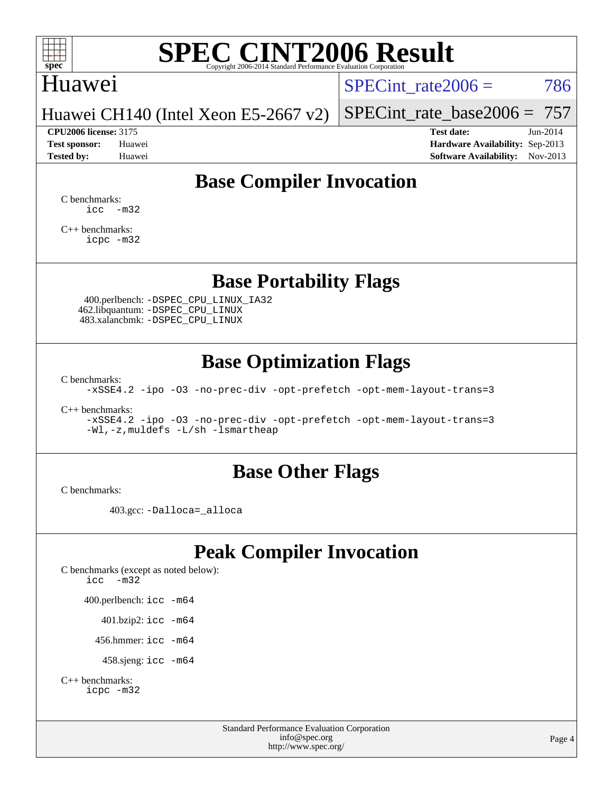

### Huawei

SPECint rate $2006 = 786$ 

Huawei CH140 (Intel Xeon E5-2667 v2)

**[Test sponsor:](http://www.spec.org/auto/cpu2006/Docs/result-fields.html#Testsponsor)** Huawei **[Hardware Availability:](http://www.spec.org/auto/cpu2006/Docs/result-fields.html#HardwareAvailability)** Sep-2013 **[Tested by:](http://www.spec.org/auto/cpu2006/Docs/result-fields.html#Testedby)** Huawei **[Software Availability:](http://www.spec.org/auto/cpu2006/Docs/result-fields.html#SoftwareAvailability)** Nov-2013

[SPECint\\_rate\\_base2006 =](http://www.spec.org/auto/cpu2006/Docs/result-fields.html#SPECintratebase2006) 757 **[CPU2006 license:](http://www.spec.org/auto/cpu2006/Docs/result-fields.html#CPU2006license)** 3175 **[Test date:](http://www.spec.org/auto/cpu2006/Docs/result-fields.html#Testdate)** Jun-2014

**[Base Compiler Invocation](http://www.spec.org/auto/cpu2006/Docs/result-fields.html#BaseCompilerInvocation)**

[C benchmarks](http://www.spec.org/auto/cpu2006/Docs/result-fields.html#Cbenchmarks):  $\text{icc}$   $-\text{m32}$ 

[C++ benchmarks:](http://www.spec.org/auto/cpu2006/Docs/result-fields.html#CXXbenchmarks) [icpc -m32](http://www.spec.org/cpu2006/results/res2014q3/cpu2006-20140630-30120.flags.html#user_CXXbase_intel_icpc_4e5a5ef1a53fd332b3c49e69c3330699)

### **[Base Portability Flags](http://www.spec.org/auto/cpu2006/Docs/result-fields.html#BasePortabilityFlags)**

 400.perlbench: [-DSPEC\\_CPU\\_LINUX\\_IA32](http://www.spec.org/cpu2006/results/res2014q3/cpu2006-20140630-30120.flags.html#b400.perlbench_baseCPORTABILITY_DSPEC_CPU_LINUX_IA32) 462.libquantum: [-DSPEC\\_CPU\\_LINUX](http://www.spec.org/cpu2006/results/res2014q3/cpu2006-20140630-30120.flags.html#b462.libquantum_baseCPORTABILITY_DSPEC_CPU_LINUX) 483.xalancbmk: [-DSPEC\\_CPU\\_LINUX](http://www.spec.org/cpu2006/results/res2014q3/cpu2006-20140630-30120.flags.html#b483.xalancbmk_baseCXXPORTABILITY_DSPEC_CPU_LINUX)

## **[Base Optimization Flags](http://www.spec.org/auto/cpu2006/Docs/result-fields.html#BaseOptimizationFlags)**

[C benchmarks](http://www.spec.org/auto/cpu2006/Docs/result-fields.html#Cbenchmarks):

[-xSSE4.2](http://www.spec.org/cpu2006/results/res2014q3/cpu2006-20140630-30120.flags.html#user_CCbase_f-xSSE42_f91528193cf0b216347adb8b939d4107) [-ipo](http://www.spec.org/cpu2006/results/res2014q3/cpu2006-20140630-30120.flags.html#user_CCbase_f-ipo) [-O3](http://www.spec.org/cpu2006/results/res2014q3/cpu2006-20140630-30120.flags.html#user_CCbase_f-O3) [-no-prec-div](http://www.spec.org/cpu2006/results/res2014q3/cpu2006-20140630-30120.flags.html#user_CCbase_f-no-prec-div) [-opt-prefetch](http://www.spec.org/cpu2006/results/res2014q3/cpu2006-20140630-30120.flags.html#user_CCbase_f-opt-prefetch) [-opt-mem-layout-trans=3](http://www.spec.org/cpu2006/results/res2014q3/cpu2006-20140630-30120.flags.html#user_CCbase_f-opt-mem-layout-trans_a7b82ad4bd7abf52556d4961a2ae94d5)

[C++ benchmarks:](http://www.spec.org/auto/cpu2006/Docs/result-fields.html#CXXbenchmarks)

[-xSSE4.2](http://www.spec.org/cpu2006/results/res2014q3/cpu2006-20140630-30120.flags.html#user_CXXbase_f-xSSE42_f91528193cf0b216347adb8b939d4107) [-ipo](http://www.spec.org/cpu2006/results/res2014q3/cpu2006-20140630-30120.flags.html#user_CXXbase_f-ipo) [-O3](http://www.spec.org/cpu2006/results/res2014q3/cpu2006-20140630-30120.flags.html#user_CXXbase_f-O3) [-no-prec-div](http://www.spec.org/cpu2006/results/res2014q3/cpu2006-20140630-30120.flags.html#user_CXXbase_f-no-prec-div) [-opt-prefetch](http://www.spec.org/cpu2006/results/res2014q3/cpu2006-20140630-30120.flags.html#user_CXXbase_f-opt-prefetch) [-opt-mem-layout-trans=3](http://www.spec.org/cpu2006/results/res2014q3/cpu2006-20140630-30120.flags.html#user_CXXbase_f-opt-mem-layout-trans_a7b82ad4bd7abf52556d4961a2ae94d5) [-Wl,-z,muldefs](http://www.spec.org/cpu2006/results/res2014q3/cpu2006-20140630-30120.flags.html#user_CXXbase_link_force_multiple1_74079c344b956b9658436fd1b6dd3a8a) [-L/sh -lsmartheap](http://www.spec.org/cpu2006/results/res2014q3/cpu2006-20140630-30120.flags.html#user_CXXbase_SmartHeap_32f6c82aa1ed9c52345d30cf6e4a0499)

### **[Base Other Flags](http://www.spec.org/auto/cpu2006/Docs/result-fields.html#BaseOtherFlags)**

[C benchmarks](http://www.spec.org/auto/cpu2006/Docs/result-fields.html#Cbenchmarks):

403.gcc: [-Dalloca=\\_alloca](http://www.spec.org/cpu2006/results/res2014q3/cpu2006-20140630-30120.flags.html#b403.gcc_baseEXTRA_CFLAGS_Dalloca_be3056838c12de2578596ca5467af7f3)

## **[Peak Compiler Invocation](http://www.spec.org/auto/cpu2006/Docs/result-fields.html#PeakCompilerInvocation)**

[C benchmarks \(except as noted below\)](http://www.spec.org/auto/cpu2006/Docs/result-fields.html#Cbenchmarksexceptasnotedbelow): [icc -m32](http://www.spec.org/cpu2006/results/res2014q3/cpu2006-20140630-30120.flags.html#user_CCpeak_intel_icc_5ff4a39e364c98233615fdd38438c6f2) 400.perlbench: [icc -m64](http://www.spec.org/cpu2006/results/res2014q3/cpu2006-20140630-30120.flags.html#user_peakCCLD400_perlbench_intel_icc_64bit_bda6cc9af1fdbb0edc3795bac97ada53) 401.bzip2: [icc -m64](http://www.spec.org/cpu2006/results/res2014q3/cpu2006-20140630-30120.flags.html#user_peakCCLD401_bzip2_intel_icc_64bit_bda6cc9af1fdbb0edc3795bac97ada53)

456.hmmer: [icc -m64](http://www.spec.org/cpu2006/results/res2014q3/cpu2006-20140630-30120.flags.html#user_peakCCLD456_hmmer_intel_icc_64bit_bda6cc9af1fdbb0edc3795bac97ada53)

458.sjeng: [icc -m64](http://www.spec.org/cpu2006/results/res2014q3/cpu2006-20140630-30120.flags.html#user_peakCCLD458_sjeng_intel_icc_64bit_bda6cc9af1fdbb0edc3795bac97ada53)

```
C++ benchmarks: 
    icpc -m32
```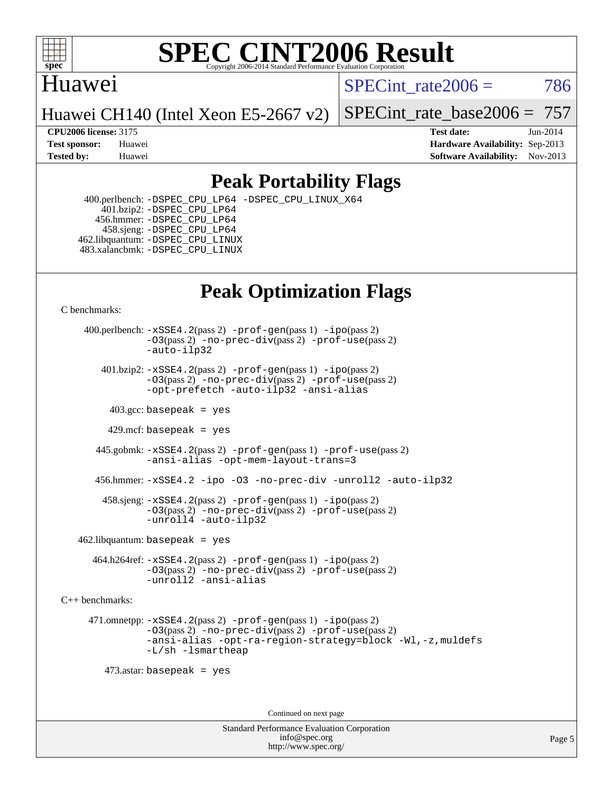

### Huawei

SPECint rate $2006 = 786$ 

Huawei CH140 (Intel Xeon E5-2667 v2)

[SPECint\\_rate\\_base2006 =](http://www.spec.org/auto/cpu2006/Docs/result-fields.html#SPECintratebase2006) 757

**[CPU2006 license:](http://www.spec.org/auto/cpu2006/Docs/result-fields.html#CPU2006license)** 3175 **[Test date:](http://www.spec.org/auto/cpu2006/Docs/result-fields.html#Testdate)** Jun-2014 **[Test sponsor:](http://www.spec.org/auto/cpu2006/Docs/result-fields.html#Testsponsor)** Huawei **[Hardware Availability:](http://www.spec.org/auto/cpu2006/Docs/result-fields.html#HardwareAvailability)** Sep-2013 **[Tested by:](http://www.spec.org/auto/cpu2006/Docs/result-fields.html#Testedby)** Huawei **[Software Availability:](http://www.spec.org/auto/cpu2006/Docs/result-fields.html#SoftwareAvailability)** Nov-2013

## **[Peak Portability Flags](http://www.spec.org/auto/cpu2006/Docs/result-fields.html#PeakPortabilityFlags)**

 400.perlbench: [-DSPEC\\_CPU\\_LP64](http://www.spec.org/cpu2006/results/res2014q3/cpu2006-20140630-30120.flags.html#b400.perlbench_peakCPORTABILITY_DSPEC_CPU_LP64) [-DSPEC\\_CPU\\_LINUX\\_X64](http://www.spec.org/cpu2006/results/res2014q3/cpu2006-20140630-30120.flags.html#b400.perlbench_peakCPORTABILITY_DSPEC_CPU_LINUX_X64) 401.bzip2: [-DSPEC\\_CPU\\_LP64](http://www.spec.org/cpu2006/results/res2014q3/cpu2006-20140630-30120.flags.html#suite_peakCPORTABILITY401_bzip2_DSPEC_CPU_LP64) 456.hmmer: [-DSPEC\\_CPU\\_LP64](http://www.spec.org/cpu2006/results/res2014q3/cpu2006-20140630-30120.flags.html#suite_peakCPORTABILITY456_hmmer_DSPEC_CPU_LP64) 458.sjeng: [-DSPEC\\_CPU\\_LP64](http://www.spec.org/cpu2006/results/res2014q3/cpu2006-20140630-30120.flags.html#suite_peakCPORTABILITY458_sjeng_DSPEC_CPU_LP64) 462.libquantum: [-DSPEC\\_CPU\\_LINUX](http://www.spec.org/cpu2006/results/res2014q3/cpu2006-20140630-30120.flags.html#b462.libquantum_peakCPORTABILITY_DSPEC_CPU_LINUX) 483.xalancbmk: [-DSPEC\\_CPU\\_LINUX](http://www.spec.org/cpu2006/results/res2014q3/cpu2006-20140630-30120.flags.html#b483.xalancbmk_peakCXXPORTABILITY_DSPEC_CPU_LINUX)

## **[Peak Optimization Flags](http://www.spec.org/auto/cpu2006/Docs/result-fields.html#PeakOptimizationFlags)**

[C benchmarks](http://www.spec.org/auto/cpu2006/Docs/result-fields.html#Cbenchmarks):

 400.perlbench: [-xSSE4.2](http://www.spec.org/cpu2006/results/res2014q3/cpu2006-20140630-30120.flags.html#user_peakPASS2_CFLAGSPASS2_LDCFLAGS400_perlbench_f-xSSE42_f91528193cf0b216347adb8b939d4107)(pass 2) [-prof-gen](http://www.spec.org/cpu2006/results/res2014q3/cpu2006-20140630-30120.flags.html#user_peakPASS1_CFLAGSPASS1_LDCFLAGS400_perlbench_prof_gen_e43856698f6ca7b7e442dfd80e94a8fc)(pass 1) [-ipo](http://www.spec.org/cpu2006/results/res2014q3/cpu2006-20140630-30120.flags.html#user_peakPASS2_CFLAGSPASS2_LDCFLAGS400_perlbench_f-ipo)(pass 2) [-O3](http://www.spec.org/cpu2006/results/res2014q3/cpu2006-20140630-30120.flags.html#user_peakPASS2_CFLAGSPASS2_LDCFLAGS400_perlbench_f-O3)(pass 2) [-no-prec-div](http://www.spec.org/cpu2006/results/res2014q3/cpu2006-20140630-30120.flags.html#user_peakPASS2_CFLAGSPASS2_LDCFLAGS400_perlbench_f-no-prec-div)(pass 2) [-prof-use](http://www.spec.org/cpu2006/results/res2014q3/cpu2006-20140630-30120.flags.html#user_peakPASS2_CFLAGSPASS2_LDCFLAGS400_perlbench_prof_use_bccf7792157ff70d64e32fe3e1250b55)(pass 2) [-auto-ilp32](http://www.spec.org/cpu2006/results/res2014q3/cpu2006-20140630-30120.flags.html#user_peakCOPTIMIZE400_perlbench_f-auto-ilp32)  $401.bzip2: -xSSE4.2(pass 2) -prof-qen(pass 1) -ipo(pass 2)$  $401.bzip2: -xSSE4.2(pass 2) -prof-qen(pass 1) -ipo(pass 2)$  $401.bzip2: -xSSE4.2(pass 2) -prof-qen(pass 1) -ipo(pass 2)$  $401.bzip2: -xSSE4.2(pass 2) -prof-qen(pass 1) -ipo(pass 2)$  $401.bzip2: -xSSE4.2(pass 2) -prof-qen(pass 1) -ipo(pass 2)$ [-O3](http://www.spec.org/cpu2006/results/res2014q3/cpu2006-20140630-30120.flags.html#user_peakPASS2_CFLAGSPASS2_LDCFLAGS401_bzip2_f-O3)(pass 2) [-no-prec-div](http://www.spec.org/cpu2006/results/res2014q3/cpu2006-20140630-30120.flags.html#user_peakPASS2_CFLAGSPASS2_LDCFLAGS401_bzip2_f-no-prec-div)(pass 2) [-prof-use](http://www.spec.org/cpu2006/results/res2014q3/cpu2006-20140630-30120.flags.html#user_peakPASS2_CFLAGSPASS2_LDCFLAGS401_bzip2_prof_use_bccf7792157ff70d64e32fe3e1250b55)(pass 2) [-opt-prefetch](http://www.spec.org/cpu2006/results/res2014q3/cpu2006-20140630-30120.flags.html#user_peakCOPTIMIZE401_bzip2_f-opt-prefetch) [-auto-ilp32](http://www.spec.org/cpu2006/results/res2014q3/cpu2006-20140630-30120.flags.html#user_peakCOPTIMIZE401_bzip2_f-auto-ilp32) [-ansi-alias](http://www.spec.org/cpu2006/results/res2014q3/cpu2006-20140630-30120.flags.html#user_peakCOPTIMIZE401_bzip2_f-ansi-alias)  $403.\text{sec: basepeak}$  = yes 429.mcf: basepeak = yes 445.gobmk: [-xSSE4.2](http://www.spec.org/cpu2006/results/res2014q3/cpu2006-20140630-30120.flags.html#user_peakPASS2_CFLAGSPASS2_LDCFLAGS445_gobmk_f-xSSE42_f91528193cf0b216347adb8b939d4107)(pass 2) [-prof-gen](http://www.spec.org/cpu2006/results/res2014q3/cpu2006-20140630-30120.flags.html#user_peakPASS1_CFLAGSPASS1_LDCFLAGS445_gobmk_prof_gen_e43856698f6ca7b7e442dfd80e94a8fc)(pass 1) [-prof-use](http://www.spec.org/cpu2006/results/res2014q3/cpu2006-20140630-30120.flags.html#user_peakPASS2_CFLAGSPASS2_LDCFLAGS445_gobmk_prof_use_bccf7792157ff70d64e32fe3e1250b55)(pass 2) [-ansi-alias](http://www.spec.org/cpu2006/results/res2014q3/cpu2006-20140630-30120.flags.html#user_peakCOPTIMIZE445_gobmk_f-ansi-alias) [-opt-mem-layout-trans=3](http://www.spec.org/cpu2006/results/res2014q3/cpu2006-20140630-30120.flags.html#user_peakCOPTIMIZE445_gobmk_f-opt-mem-layout-trans_a7b82ad4bd7abf52556d4961a2ae94d5) 456.hmmer: [-xSSE4.2](http://www.spec.org/cpu2006/results/res2014q3/cpu2006-20140630-30120.flags.html#user_peakCOPTIMIZE456_hmmer_f-xSSE42_f91528193cf0b216347adb8b939d4107) [-ipo](http://www.spec.org/cpu2006/results/res2014q3/cpu2006-20140630-30120.flags.html#user_peakCOPTIMIZE456_hmmer_f-ipo) [-O3](http://www.spec.org/cpu2006/results/res2014q3/cpu2006-20140630-30120.flags.html#user_peakCOPTIMIZE456_hmmer_f-O3) [-no-prec-div](http://www.spec.org/cpu2006/results/res2014q3/cpu2006-20140630-30120.flags.html#user_peakCOPTIMIZE456_hmmer_f-no-prec-div) [-unroll2](http://www.spec.org/cpu2006/results/res2014q3/cpu2006-20140630-30120.flags.html#user_peakCOPTIMIZE456_hmmer_f-unroll_784dae83bebfb236979b41d2422d7ec2) [-auto-ilp32](http://www.spec.org/cpu2006/results/res2014q3/cpu2006-20140630-30120.flags.html#user_peakCOPTIMIZE456_hmmer_f-auto-ilp32) 458.sjeng: [-xSSE4.2](http://www.spec.org/cpu2006/results/res2014q3/cpu2006-20140630-30120.flags.html#user_peakPASS2_CFLAGSPASS2_LDCFLAGS458_sjeng_f-xSSE42_f91528193cf0b216347adb8b939d4107)(pass 2) [-prof-gen](http://www.spec.org/cpu2006/results/res2014q3/cpu2006-20140630-30120.flags.html#user_peakPASS1_CFLAGSPASS1_LDCFLAGS458_sjeng_prof_gen_e43856698f6ca7b7e442dfd80e94a8fc)(pass 1) [-ipo](http://www.spec.org/cpu2006/results/res2014q3/cpu2006-20140630-30120.flags.html#user_peakPASS2_CFLAGSPASS2_LDCFLAGS458_sjeng_f-ipo)(pass 2) [-O3](http://www.spec.org/cpu2006/results/res2014q3/cpu2006-20140630-30120.flags.html#user_peakPASS2_CFLAGSPASS2_LDCFLAGS458_sjeng_f-O3)(pass 2) [-no-prec-div](http://www.spec.org/cpu2006/results/res2014q3/cpu2006-20140630-30120.flags.html#user_peakPASS2_CFLAGSPASS2_LDCFLAGS458_sjeng_f-no-prec-div)(pass 2) [-prof-use](http://www.spec.org/cpu2006/results/res2014q3/cpu2006-20140630-30120.flags.html#user_peakPASS2_CFLAGSPASS2_LDCFLAGS458_sjeng_prof_use_bccf7792157ff70d64e32fe3e1250b55)(pass 2) [-unroll4](http://www.spec.org/cpu2006/results/res2014q3/cpu2006-20140630-30120.flags.html#user_peakCOPTIMIZE458_sjeng_f-unroll_4e5e4ed65b7fd20bdcd365bec371b81f) [-auto-ilp32](http://www.spec.org/cpu2006/results/res2014q3/cpu2006-20140630-30120.flags.html#user_peakCOPTIMIZE458_sjeng_f-auto-ilp32)  $462$ .libquantum: basepeak = yes 464.h264ref: [-xSSE4.2](http://www.spec.org/cpu2006/results/res2014q3/cpu2006-20140630-30120.flags.html#user_peakPASS2_CFLAGSPASS2_LDCFLAGS464_h264ref_f-xSSE42_f91528193cf0b216347adb8b939d4107)(pass 2) [-prof-gen](http://www.spec.org/cpu2006/results/res2014q3/cpu2006-20140630-30120.flags.html#user_peakPASS1_CFLAGSPASS1_LDCFLAGS464_h264ref_prof_gen_e43856698f6ca7b7e442dfd80e94a8fc)(pass 1) [-ipo](http://www.spec.org/cpu2006/results/res2014q3/cpu2006-20140630-30120.flags.html#user_peakPASS2_CFLAGSPASS2_LDCFLAGS464_h264ref_f-ipo)(pass 2) [-O3](http://www.spec.org/cpu2006/results/res2014q3/cpu2006-20140630-30120.flags.html#user_peakPASS2_CFLAGSPASS2_LDCFLAGS464_h264ref_f-O3)(pass 2) [-no-prec-div](http://www.spec.org/cpu2006/results/res2014q3/cpu2006-20140630-30120.flags.html#user_peakPASS2_CFLAGSPASS2_LDCFLAGS464_h264ref_f-no-prec-div)(pass 2) [-prof-use](http://www.spec.org/cpu2006/results/res2014q3/cpu2006-20140630-30120.flags.html#user_peakPASS2_CFLAGSPASS2_LDCFLAGS464_h264ref_prof_use_bccf7792157ff70d64e32fe3e1250b55)(pass 2)

[C++ benchmarks:](http://www.spec.org/auto/cpu2006/Docs/result-fields.html#CXXbenchmarks)

 471.omnetpp: [-xSSE4.2](http://www.spec.org/cpu2006/results/res2014q3/cpu2006-20140630-30120.flags.html#user_peakPASS2_CXXFLAGSPASS2_LDCXXFLAGS471_omnetpp_f-xSSE42_f91528193cf0b216347adb8b939d4107)(pass 2) [-prof-gen](http://www.spec.org/cpu2006/results/res2014q3/cpu2006-20140630-30120.flags.html#user_peakPASS1_CXXFLAGSPASS1_LDCXXFLAGS471_omnetpp_prof_gen_e43856698f6ca7b7e442dfd80e94a8fc)(pass 1) [-ipo](http://www.spec.org/cpu2006/results/res2014q3/cpu2006-20140630-30120.flags.html#user_peakPASS2_CXXFLAGSPASS2_LDCXXFLAGS471_omnetpp_f-ipo)(pass 2) [-O3](http://www.spec.org/cpu2006/results/res2014q3/cpu2006-20140630-30120.flags.html#user_peakPASS2_CXXFLAGSPASS2_LDCXXFLAGS471_omnetpp_f-O3)(pass 2) [-no-prec-div](http://www.spec.org/cpu2006/results/res2014q3/cpu2006-20140630-30120.flags.html#user_peakPASS2_CXXFLAGSPASS2_LDCXXFLAGS471_omnetpp_f-no-prec-div)(pass 2) [-prof-use](http://www.spec.org/cpu2006/results/res2014q3/cpu2006-20140630-30120.flags.html#user_peakPASS2_CXXFLAGSPASS2_LDCXXFLAGS471_omnetpp_prof_use_bccf7792157ff70d64e32fe3e1250b55)(pass 2) [-ansi-alias](http://www.spec.org/cpu2006/results/res2014q3/cpu2006-20140630-30120.flags.html#user_peakCXXOPTIMIZE471_omnetpp_f-ansi-alias) [-opt-ra-region-strategy=block](http://www.spec.org/cpu2006/results/res2014q3/cpu2006-20140630-30120.flags.html#user_peakCXXOPTIMIZE471_omnetpp_f-opt-ra-region-strategy_a0a37c372d03933b2a18d4af463c1f69) [-Wl,-z,muldefs](http://www.spec.org/cpu2006/results/res2014q3/cpu2006-20140630-30120.flags.html#user_peakEXTRA_LDFLAGS471_omnetpp_link_force_multiple1_74079c344b956b9658436fd1b6dd3a8a) [-L/sh -lsmartheap](http://www.spec.org/cpu2006/results/res2014q3/cpu2006-20140630-30120.flags.html#user_peakEXTRA_LIBS471_omnetpp_SmartHeap_32f6c82aa1ed9c52345d30cf6e4a0499)

473.astar: basepeak = yes

[-unroll2](http://www.spec.org/cpu2006/results/res2014q3/cpu2006-20140630-30120.flags.html#user_peakCOPTIMIZE464_h264ref_f-unroll_784dae83bebfb236979b41d2422d7ec2) [-ansi-alias](http://www.spec.org/cpu2006/results/res2014q3/cpu2006-20140630-30120.flags.html#user_peakCOPTIMIZE464_h264ref_f-ansi-alias)

Continued on next page

Standard Performance Evaluation Corporation [info@spec.org](mailto:info@spec.org) <http://www.spec.org/>